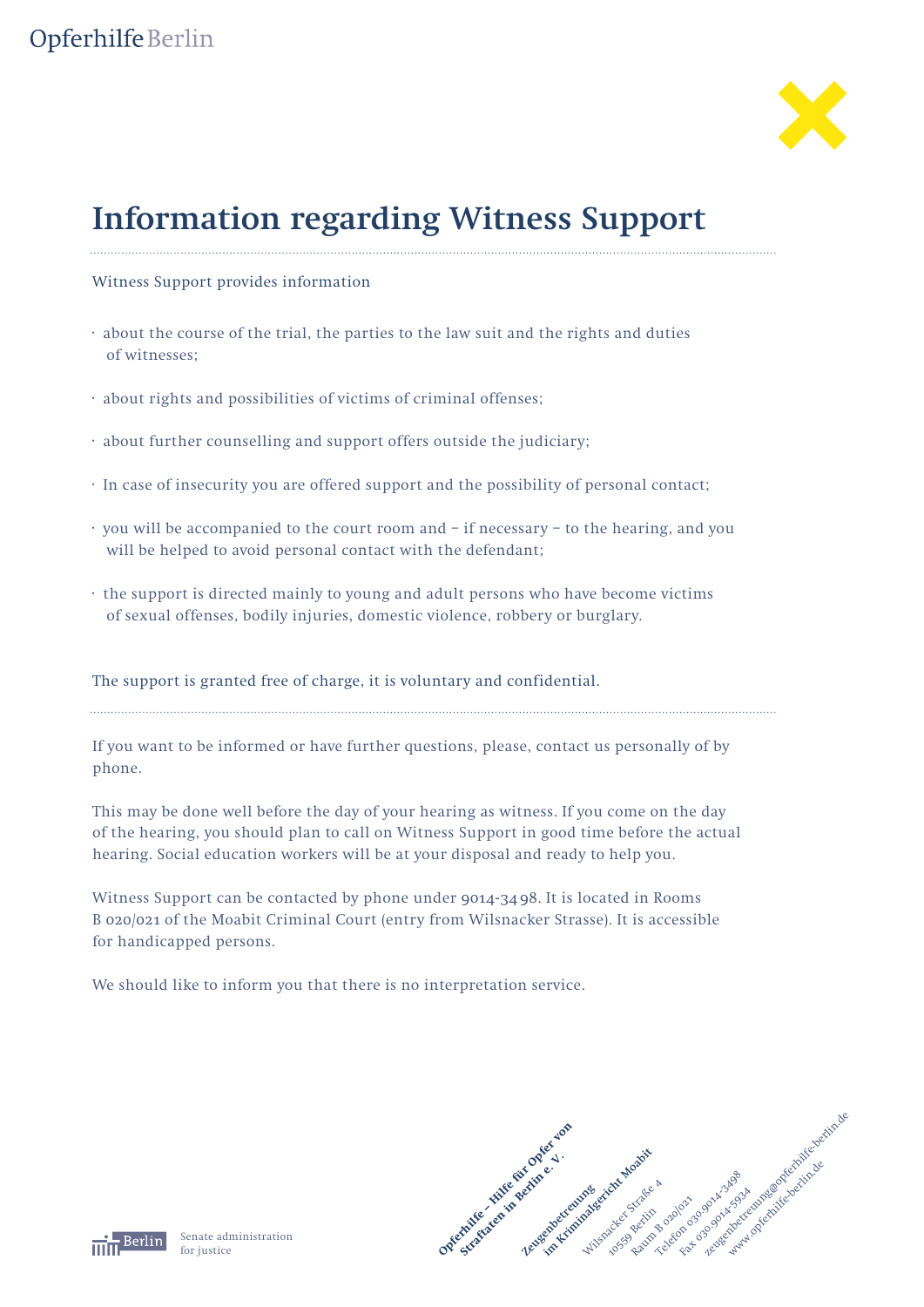## Opferhilfe Berlin



# **Information regarding Witness Support**

#### Witness Support provides information

- · about the course of the trial, the parties to the law suit and the rights and duties of witnesses;
- · about rights and possibilities of victims of criminal offenses;
- · about further counselling and support offers outside the judiciary;
- · In case of insecurity you are offered support and the possibility of personal contact;
- · you will be accompanied to the court room and if necessary to the hearing, and you will be helped to avoid personal contact with the defendant;
- · the support is directed mainly to young and adult persons who have become victims of sexual offenses, bodily injuries, domestic violence, robbery or burglary.

#### The support is granted free of charge, it is voluntary and confidential.

If you want to be informed or have further questions, please, contact us personally of by phone.

This may be done well before the day of your hearing as witness. If you come on the day of the hearing, you should plan to call on Witness Support in good time before the actual hearing. Social education workers will be at your disposal and ready to help you.

Witness Support can be contacted by phone under 9014-34 98. It is located in Rooms B 020/021 of the Moabit Criminal Court (entry from Wilsnacker Strasse). It is accessible for handicapped persons.

We should like to inform you that there is no interpretation service.